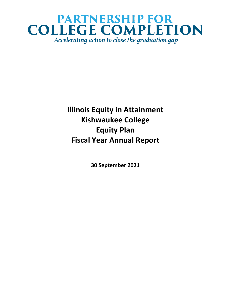## **PARTNERSHIP FOR COLLEGE COMPLETION** Accelerating action to close the graduation gap

**Illinois Equity in Attainment Kishwaukee College Equity Plan Fiscal Year Annual Report**

**30 September 2021**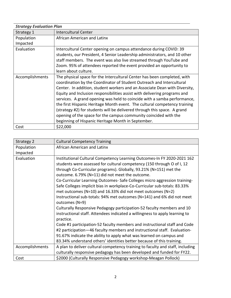| <b>Strategy Evaluation Plan</b> |                                                                            |
|---------------------------------|----------------------------------------------------------------------------|
| Strategy 1                      | <b>Intercultural Center</b>                                                |
| Population                      | African American and Latinx                                                |
| Impacted                        |                                                                            |
| Evaluation                      | Intercultural Center opening on campus attendance during COVID: 39         |
|                                 | students, our President, 4 Senior Leadership administrators, and 10 other  |
|                                 | staff members. The event was also live streamed through YouTube and        |
|                                 | Zoom. 95% of attendees reported the event provided an opportunity to       |
|                                 | learn about culture.                                                       |
| Accomplishments                 | The physical space for the Intercultural Center has been completed, with   |
|                                 | coordination by the Coordinator of Student Outreach and Intercultural      |
|                                 | Center. In addition, student workers and an Associate Dean with Diversity, |
|                                 | Equity and Inclusion responsibilities assist with delivering programs and  |
|                                 | services. A grand opening was held to coincide with a samba performance,   |
|                                 | the first Hispanic Heritage Month event. The cultural competency training  |
|                                 | (strategy #2) for students will be delivered through this space. A grand   |
|                                 | opening of the space for the campus community coincided with the           |
|                                 | beginning of Hispanic Heritage Month in September.                         |
| Cost                            | \$22,000                                                                   |

| Strategy 2      | <b>Cultural Competency Training</b>                                                                                                                                                                                                                                                                                                                                                                                                                                                                                                                                                                                                                                                                                                                                                                                                                                                                                                                                                                                                                                         |
|-----------------|-----------------------------------------------------------------------------------------------------------------------------------------------------------------------------------------------------------------------------------------------------------------------------------------------------------------------------------------------------------------------------------------------------------------------------------------------------------------------------------------------------------------------------------------------------------------------------------------------------------------------------------------------------------------------------------------------------------------------------------------------------------------------------------------------------------------------------------------------------------------------------------------------------------------------------------------------------------------------------------------------------------------------------------------------------------------------------|
| Population      | African American and Latinx                                                                                                                                                                                                                                                                                                                                                                                                                                                                                                                                                                                                                                                                                                                                                                                                                                                                                                                                                                                                                                                 |
| Impacted        |                                                                                                                                                                                                                                                                                                                                                                                                                                                                                                                                                                                                                                                                                                                                                                                                                                                                                                                                                                                                                                                                             |
| Evaluation      | Institutional Cultural Competency Learning Outcomes-In FY 2020-2021 162<br>students were assessed for cultural competency (150 through O of I, 12<br>through Co-Curricular programs). Globally, 93.21% (N=151) met the<br>outcome. 6.79% (N=11) did not meet the outcome.<br>Co-Curricular Learning Outcomes-Safe Colleges micro aggression training-<br>Safe Colleges implicit bias in workplace-Co-Curricular sub-totals: 83.33%<br>met outcomes (N=10) and 16.33% did not meet outcomes (N=2)<br>Instructional sub-totals: 94% met outcomes (N=141) and 6% did not meet<br>outcomes (N=9)<br>Culturally Responsive Pedagogy participation-52 faculty members and 10<br>instructional staff. Attendees indicated a willingness to apply learning to<br>practice.<br>Code #1 participation-52 faculty members and instructional staff and Code<br>#2 participation-46 faculty members and instructional staff. Evaluation-<br>91.67% indicate the ability to apply what was learned on campus and<br>83.34% understand others' identities better because of this training. |
| Accomplishments | A plan to deliver cultural competency training to faculty and staff, including                                                                                                                                                                                                                                                                                                                                                                                                                                                                                                                                                                                                                                                                                                                                                                                                                                                                                                                                                                                              |
|                 | culturally responsive pedagogy has been developed and funded for FY22.                                                                                                                                                                                                                                                                                                                                                                                                                                                                                                                                                                                                                                                                                                                                                                                                                                                                                                                                                                                                      |
| Cost            | \$2000 (Culturally Responsive Pedagogy workshop-Meagan Pollock)                                                                                                                                                                                                                                                                                                                                                                                                                                                                                                                                                                                                                                                                                                                                                                                                                                                                                                                                                                                                             |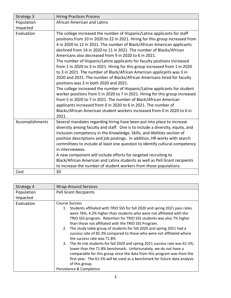| Strategy 3      | <b>Hiring Practices Process</b>                                                                                                                                                                                                                                                                                                                                                                                                                                                                                                                                                                                                                                                                                                                                                                                                                                                                                                                                                                                                                                                                                              |
|-----------------|------------------------------------------------------------------------------------------------------------------------------------------------------------------------------------------------------------------------------------------------------------------------------------------------------------------------------------------------------------------------------------------------------------------------------------------------------------------------------------------------------------------------------------------------------------------------------------------------------------------------------------------------------------------------------------------------------------------------------------------------------------------------------------------------------------------------------------------------------------------------------------------------------------------------------------------------------------------------------------------------------------------------------------------------------------------------------------------------------------------------------|
| Population      | African American and Latinx                                                                                                                                                                                                                                                                                                                                                                                                                                                                                                                                                                                                                                                                                                                                                                                                                                                                                                                                                                                                                                                                                                  |
| Impacted        |                                                                                                                                                                                                                                                                                                                                                                                                                                                                                                                                                                                                                                                                                                                                                                                                                                                                                                                                                                                                                                                                                                                              |
| Evaluation      | The college increased the number of Hispanic/Latinx applicants for staff<br>positions from 10 in 2020 to 22 in 2021. Hiring for this group increased from<br>4 in 2020 to 12 in 2021. The number of Black/African American applicants<br>declined from 14 in 2020 to 11 in 2021. The number of Blacks/African<br>Americans also decreased from 9 in 2020 to 6 in 2021.<br>The number of Hispanic/Latinx applicants for faculty positions increased<br>from 1 in 2020 to 3 in 2021. Hiring for this group increased from 1 in 2020<br>to 3 in 2021. The number of Black/African American applicants was 3 in<br>2020 and 2021. The number of Blacks/African Americans hired for faculty<br>positions was 3 in both 2020 and 2021.<br>The college increased the number of Hispanic/Latinx applicants for student<br>worker positions from 5 in 2020 to 7 in 2021. Hiring for this group increased<br>from 5 in 2020 to 7 in 2021. The number of Black/African American<br>applicants increased from 0 in 2020 to 6 in 2021. The number of<br>Blacks/African American student workers increased from 0 in 2020 to 6 in<br>2021. |
| Accomplishments | Several mandates regarding hiring have been put into place to increase<br>diversity among faculty and staff. One is to include a diversity, equity, and<br>inclusion competency in the Knowledge, Skills, and Abilities section of<br>position descriptions and job postings. In addition, HR works with search<br>committees to include at least one question to identify cultural competency<br>in interviewees.<br>A new component will include efforts for targeted recruiting to<br>Black/African American and Latinx students as well as Pell Grant recipients<br>to increase the number of student workers from those populations.                                                                                                                                                                                                                                                                                                                                                                                                                                                                                    |
| Cost            | \$0                                                                                                                                                                                                                                                                                                                                                                                                                                                                                                                                                                                                                                                                                                                                                                                                                                                                                                                                                                                                                                                                                                                          |

| Strategy 4 | <b>Wrap-Around Services</b>                                                                                                                                                                                                                                                                                                                                                                                                                                                                                                                                                                                                                                                                                                                                                                                                         |
|------------|-------------------------------------------------------------------------------------------------------------------------------------------------------------------------------------------------------------------------------------------------------------------------------------------------------------------------------------------------------------------------------------------------------------------------------------------------------------------------------------------------------------------------------------------------------------------------------------------------------------------------------------------------------------------------------------------------------------------------------------------------------------------------------------------------------------------------------------|
| Population | <b>Pell Grant Recipients</b>                                                                                                                                                                                                                                                                                                                                                                                                                                                                                                                                                                                                                                                                                                                                                                                                        |
| Impacted   |                                                                                                                                                                                                                                                                                                                                                                                                                                                                                                                                                                                                                                                                                                                                                                                                                                     |
| Evaluation | <b>Course Success</b>                                                                                                                                                                                                                                                                                                                                                                                                                                                                                                                                                                                                                                                                                                                                                                                                               |
|            | 1. Students affiliated with TRIO SSS for fall 2020 and spring 2021 pass rates<br>were 76%, 4.2% higher than students who were not affiliated with the<br>TRIO SSS program. Retention for TRIO SSS students was also 7% higher<br>than those not affiliated with the TRIO SSS Program.<br>2. The study table group of students for fall 2020 and spring 2021 had a<br>success rate of 82.3% compared to those who were not affiliated where<br>the success rate was 71.8%<br>3. The At-risk students for fall 2020 and spring 2021 success rate was 61.5%,<br>lower than the 71.8% benchmark. Unfortunately, we do not have a<br>comparable for this group since the data from this program was from the<br>first year. The 61.5% will be used as a benchmark for future data analysis<br>of this group.<br>Persistence & Completion |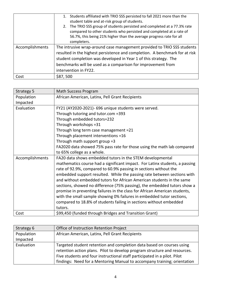|                 | Students affiliated with TRIO SSS persisted to fall 2021 more than the<br>student table and at-risk group of students.<br>The TRIO SSS group of students persisted and completed at a 77.3% rate<br>2.<br>compared to other students who persisted and completed at a rate of<br>56.7%, this being 21% higher than the average progress rate for all<br>completers. |
|-----------------|---------------------------------------------------------------------------------------------------------------------------------------------------------------------------------------------------------------------------------------------------------------------------------------------------------------------------------------------------------------------|
| Accomplishments | The intrusive wrap-around case management provided to TRIO SSS students<br>resulted in the highest persistence and completion. A benchmark for at risk<br>student completion was developed in Year 1 of this strategy. The<br>benchmarks will be used as a comparison for improvement from<br>intervention in FY22.                                                 |
| Cost            | \$87,500                                                                                                                                                                                                                                                                                                                                                            |

| Strategy 5      | Math Success Program                                                        |
|-----------------|-----------------------------------------------------------------------------|
| Population      | African American, Latinx, Pell Grant Recipients                             |
| Impacted        |                                                                             |
| Evaluation      | FY21 (AY2020-2021)- 696 unique students were served.                        |
|                 | Through tutoring and tutor.com =393                                         |
|                 | Through embedded tutors=232                                                 |
|                 | Through workshops = 31                                                      |
|                 | Through long term case management =21                                       |
|                 | Through placement interventions =16                                         |
|                 | Through math support group =3                                               |
|                 | FA2020 data showed 75% pass rate for those using the math lab compared      |
|                 | to 65% college as a whole.                                                  |
| Accomplishments | FA20 data shows embedded tutors in the STEM developmental                   |
|                 | mathematics course had a significant impact. For Latinx students, a passing |
|                 | rate of 92.9%, compared to 60.9% passing in sections without the            |
|                 | embedded support resulted. While the passing rate between sections with     |
|                 | and without embedded tutors for African American students in the same       |
|                 | sections, showed no difference (75% passing), the embedded tutors show a    |
|                 | promise in preventing failures in the class for African American students,  |
|                 | with the small sample showing 0% failures in embedded tutor sections,       |
|                 | compared to 18.8% of students failing in sections without embedded          |
|                 | tutors.                                                                     |
| Cost            | \$99,450 (funded through Bridges and Transition Grant)                      |

| Strategy 6 | Office of Instruction Retention Project                                   |
|------------|---------------------------------------------------------------------------|
| Population | African American, Latinx, Pell Grant Recipients                           |
| Impacted   |                                                                           |
| Evaluation | Targeted student retention and completion data based on courses using     |
|            | retention action plans. Pilot to develop program structure and resources. |
|            | Five students and four instructional staff participated in a pilot. Pilot |
|            | findings: Need for a Mentoring Manual to accompany training; orientation  |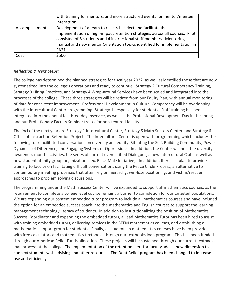|                 | with training for mentors, and more structured events for mentor/mentee      |
|-----------------|------------------------------------------------------------------------------|
|                 | interaction.                                                                 |
| Accomplishments | Development of a team to research, select and facilitate the                 |
|                 | implementation of high-impact retention strategies across all courses. Pilot |
|                 | consisted of 5 students and 4 instructional staff members. Mentoring         |
|                 | manual and new mentor Orientation topics identified for implementation in    |
|                 | FA21.                                                                        |
| Cost            | \$500                                                                        |

## *Reflection & Next Steps:*

The college has determined the planned strategies for fiscal year 2022, as well as identified those that are now systematized into the college's operations and ready to continue. Strategy 2 Cultural Competency Training, Strategy 3 Hiring Practices, and Strategy 4 Wrap-around Services have been scaled and integrated into the processes of the college. These three strategies will be retired from our Equity Plan, with annual monitoring of data for consistent improvement. Professional Development in Cultural Competency will be overlapping with the Intercultural Center programming (Strategy 1), especially for students. Staff training has been integrated into the annual fall three-day Inservice, as well as the Professional Development Day in the spring and our Probationary Faculty Seminar tracks for non-tenured faculty.

The foci of the next year are Strategy 1 Intercultural Center, Strategy 5 Math Success Center, and Strategy 6 Office of Instruction Retention Project. The Intercultural Center is open with programming which includes the following four facilitated conversations on diversity and equity: Situating the Self, Building Community, Power Dynamics of Difference, and Engaging Systems of Oppressions. In addition, the Center will host the diversity awareness month activities, the series of current events titled Dialogues, a new Intercultural Club, as well as new student affinity group organizations (ex. Black Male Initiative). In addition, there is a plan to provide training to faculty on facilitating difficult conversations using the Peace Circle Process, an alternative to contemporary meeting processes that often rely on hierarchy, win-lose positioning, and victim/rescuer approaches to problem solving discussions.

The programming under the Math Success Center will be expanded to support all mathematics courses, as the requirement to complete a college level course remains a barrier to completion for our targeted populations. We are expanding our content embedded tutor program to include all mathematics courses and have included the option for an embedded success coach into the mathematics and English courses to support the learning management technology literacy of students. In addition to institutionalizing the position of Mathematics Success Coordinator and expanding the embedded tutors, a Lead Mathematics Tutor has been hired to assist with training embedded tutors, delivering services in the STEM mathematics courses, and establishing a mathematics support group for students. Finally, all students in mathematics courses have been provided with free calculators and mathematics textbooks through our textbooks loan program. This has been funded through our American Relief Funds allocation. These projects will be sustained through our current textbook loan process at the college. The implementation of the retention alert for faculty adds a new dimension to connect students with advising and other resources. The Debt Relief program has been changed to increase use and efficiency.